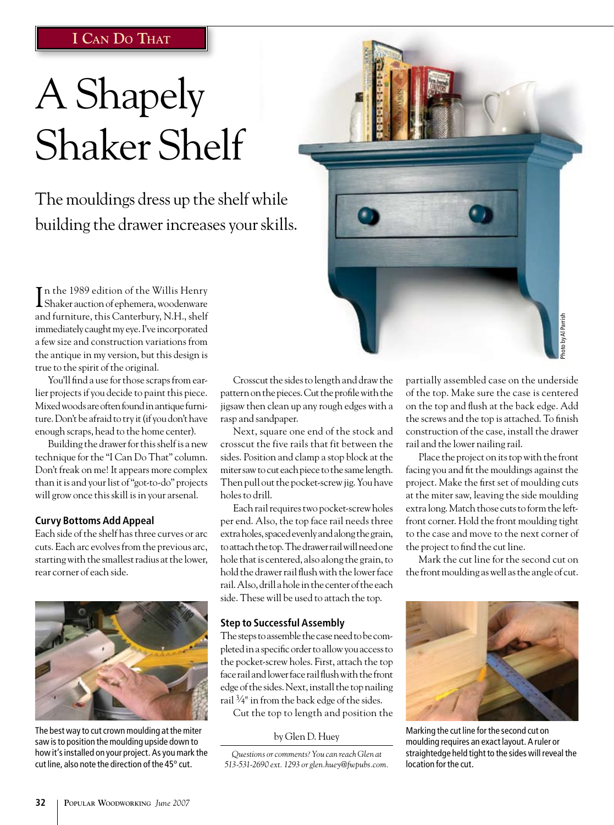## **I Can Do That**

# A Shapely Shaker Shelf

The mouldings dress up the shelf while building the drawer increases your skills.

I n the 1989 edition of the Willis Henry Shaker auction of ephemera, woodenware and furniture, this Canterbury, N.H., shelf immediately caught my eye. I've incorporated a few size and construction variations from the antique in my version, but this design is true to the spirit of the original.

You'll find a use for those scraps from earlier projects if you decide to paint this piece. Mixed woods are often found in antique furniture. Don't be afraid to try it (if you don't have enough scraps, head to the home center).

Building the drawer for this shelf is a new technique for the "I Can Do That" column. Don't freak on me! It appears more complex than it is and your list of "got-to-do" projects will grow once this skill is in your arsenal.

#### **Curvy Bottoms Add Appeal**

Each side of the shelf has three curves or arc cuts. Each arc evolves from the previous arc, starting with the smallest radius at the lower, rear corner of each side.



The best way to cut crown moulding at the miter saw is to position the moulding upside down to how it's installed on your project. As you mark the cut line, also note the direction of the 45° cut.

Crosscut the sides to length and draw the pattern on the pieces. Cut the profile with the jigsaw then clean up any rough edges with a rasp and sandpaper.

Next, square one end of the stock and crosscut the five rails that fit between the sides. Position and clamp a stop block at the miter saw to cut each piece to the same length. Then pull out the pocket-screw jig. You have holes to drill.

Each rail requires two pocket-screw holes per end. Also, the top face rail needs three extra holes, spaced evenly and along the grain, to attach the top. The drawer rail will need one hole that is centered, also along the grain, to hold the drawer rail flush with the lower face rail. Also, drill a hole in the center of the each side. These will be used to attach the top.

#### **Step to Successful Assembly**

The steps to assemble the case need to be completed in a specific order to allow you access to the pocket-screw holes. First, attach the top face rail and lower face rail flush with the front edge of the sides. Next, install the top nailing rail  $\frac{3}{4}$ " in from the back edge of the sides.

Cut the top to length and position the

by Glen D. Huey

*Questions or comments? You can reach Glen at 513-531-2690 ext. 1293 or glen.huey@fwpubs.com.* partially assembled case on the underside of the top. Make sure the case is centered on the top and flush at the back edge. Add the screws and the top is attached. To finish construction of the case, install the drawer rail and the lower nailing rail.

Photo by Al Parrish

oto by Al Parrish

Place the project on its top with the front facing you and fit the mouldings against the project. Make the first set of moulding cuts at the miter saw, leaving the side moulding extra long. Match those cuts to form the leftfront corner. Hold the front moulding tight to the case and move to the next corner of the project to find the cut line.

Mark the cut line for the second cut on the front moulding as well as the angle of cut.



moulding requires an exact layout. A ruler or straightedge held tight to the sides will reveal the location for the cut.